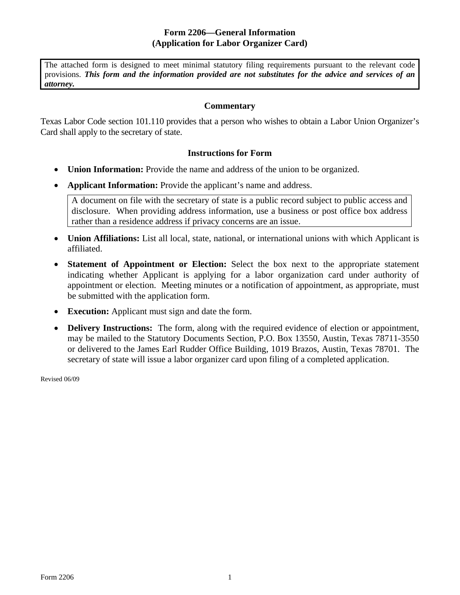## **Form 2206—General Information (Application for Labor Organizer Card)**

The attached form is designed to meet minimal statutory filing requirements pursuant to the relevant code provisions. *This form and the information provided are not substitutes for the advice and services of an attorney.* 

## **Commentary**

Texas Labor Code section 101.110 provides that a person who wishes to obtain a Labor Union Organizer's Card shall apply to the secretary of state.

## **Instructions for Form**

- • **Union Information:** Provide the name and address of the union to be organized.
- Applicant Information: Provide the applicant's name and address.

A document on file with the secretary of state is a public record subject to public access and disclosure. When providing address information, use a business or post office box address rather than a residence address if privacy concerns are an issue.

- **Union Affiliations:** List all local, state, national, or international unions with which Applicant is affiliated.
- **Statement of Appointment or Election:** Select the box next to the appropriate statement indicating whether Applicant is applying for a labor organization card under authority of appointment or election. Meeting minutes or a notification of appointment, as appropriate, must be submitted with the application form.
- **Execution:** Applicant must sign and date the form.
- **Delivery Instructions:** The form, along with the required evidence of election or appointment, may be mailed to the Statutory Documents Section, P.O. Box 13550, Austin, Texas 78711-3550 or delivered to the James Earl Rudder Office Building, 1019 Brazos, Austin, Texas 78701. The secretary of state will issue a labor organizer card upon filing of a completed application.

Revised 06/09